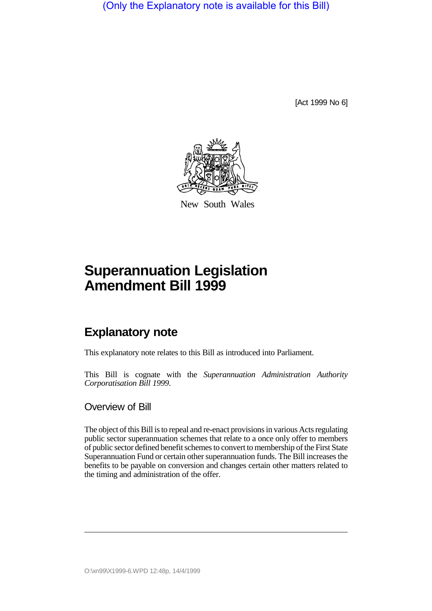(Only the Explanatory note is available for this Bill)

[Act 1999 No 6]



New South Wales

## **Superannuation Legislation Amendment Bill 1999**

## **Explanatory note**

This explanatory note relates to this Bill as introduced into Parliament.

This Bill is cognate with the *Superannuation Administration Authority Corporatisation Bill 1999*.

Overview of Bill

The object of this Bill is to repeal and re-enact provisions in various Acts regulating public sector superannuation schemes that relate to a once only offer to members of public sector defined benefit schemes to convert to membership of the First State Superannuation Fund or certain other superannuation funds. The Bill increases the benefits to be payable on conversion and changes certain other matters related to the timing and administration of the offer.